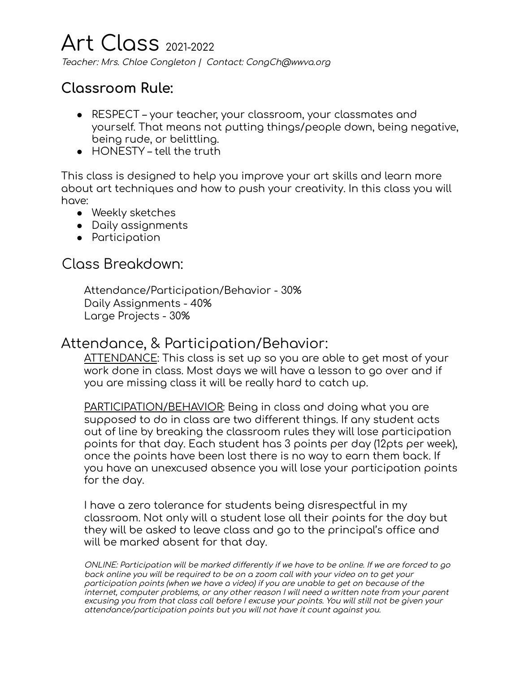# Art Class 2021-2022

Teacher: Mrs. Chloe Congleton | Contact: CongCh@wwva.org

# **Classroom Rule:**

- RESPECT your teacher, your classroom, your classmates and yourself. That means not putting things/people down, being negative, being rude, or belittling.
- HONESTY tell the truth

This class is designed to help you improve your art skills and learn more about art techniques and how to push your creativity. In this class you will have:

- Weekly sketches
- Daily assignments
- Participation

#### Class Breakdown:

Attendance/Participation/Behavior - 30% Daily Assignments - 40% Large Projects - 30%

#### Attendance, & Participation/Behavior:

ATTENDANCE: This class is set up so you are able to get most of your work done in class. Most days we will have a lesson to go over and if you are missing class it will be really hard to catch up.

PARTICIPATION/BEHAVIOR: Being in class and doing what you are supposed to do in class are two different things. If any student acts out of line by breaking the classroom rules they will lose participation points for that day. Each student has 3 points per day (12pts per week), once the points have been lost there is no way to earn them back. If you have an unexcused absence you will lose your participation points for the day.

I have a zero tolerance for students being disrespectful in my classroom. Not only will a student lose all their points for the day but they will be asked to leave class and go to the principal's office and will be marked absent for that day.

ONLINE: Participation will be marked differently if we have to be online. If we are forced to go back online you will be required to be on <sup>a</sup> zoom call with your video on to get your participation points (when we have <sup>a</sup> video) if you are unable to get on because of the internet, computer problems, or any other reason I will need <sup>a</sup> written note from your parent excusing you from that class call before I excuse your points. You will still not be given your attendance/participation points but you will not have it count against you.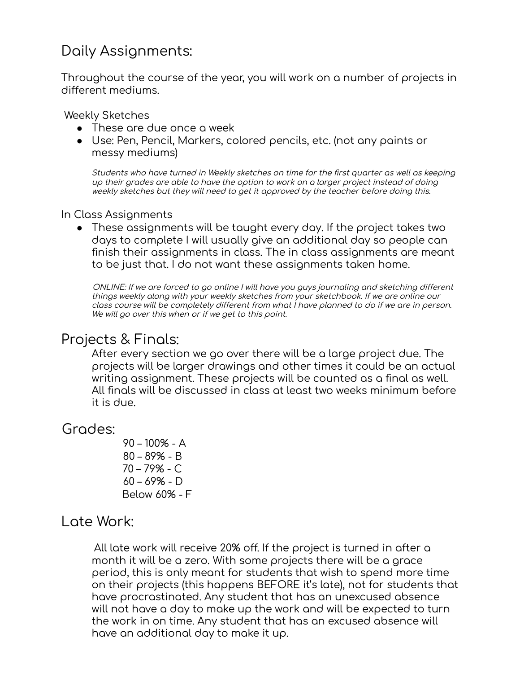# Daily Assignments:

Throughout the course of the year, you will work on a number of projects in different mediums.

Weekly Sketches

- These are due once a week
- Use: Pen, Pencil, Markers, colored pencils, etc. (not any paints or messy mediums)

Students who have turned in Weekly sketches on time for the first quarter as well as keeping up their grades are able to have the option to work on <sup>a</sup> larger project instead of doing weekly sketches but they will need to get it approved by the teacher before doing this.

#### In Class Assignments

● These assignments will be taught every day. If the project takes two days to complete I will usually give an additional day so people can finish their assignments in class. The in class assignments are meant to be just that. I do not want these assignments taken home.

ONLINE: If we are forced to go online I will have you guys journaling and sketching different things weekly along with your weekly sketches from your sketchbook. If we are online our class course will be completely different from what I have planned to do if we are in person. We will go over this when or if we get to this point.

### Projects & Finals:

After every section we go over there will be a large project due. The projects will be larger drawings and other times it could be an actual writing assignment. These projects will be counted as a final as well. All finals will be discussed in class at least two weeks minimum before it is due.

#### Grades:

 – 100% - A – 89% - B – 79% - C – 69% - D Below 60% - F

#### Late Work:

All late work will receive 20% off. If the project is turned in after a month it will be a zero. With some projects there will be a grace period, this is only meant for students that wish to spend more time on their projects (this happens BEFORE it's late), not for students that have procrastinated. Any student that has an unexcused absence will not have a day to make up the work and will be expected to turn the work in on time. Any student that has an excused absence will have an additional day to make it up.